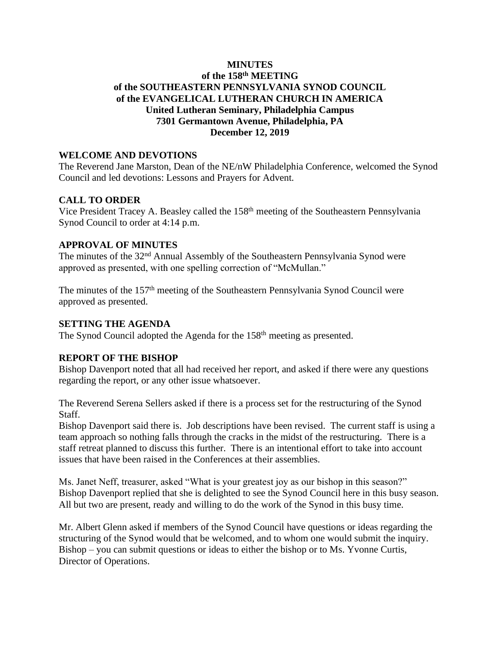# **MINUTES of the 158 th MEETING of the SOUTHEASTERN PENNSYLVANIA SYNOD COUNCIL of the EVANGELICAL LUTHERAN CHURCH IN AMERICA United Lutheran Seminary, Philadelphia Campus 7301 Germantown Avenue, Philadelphia, PA December 12, 2019**

## **WELCOME AND DEVOTIONS**

The Reverend Jane Marston, Dean of the NE/nW Philadelphia Conference, welcomed the Synod Council and led devotions: Lessons and Prayers for Advent.

# **CALL TO ORDER**

Vice President Tracey A. Beasley called the 158<sup>th</sup> meeting of the Southeastern Pennsylvania Synod Council to order at 4:14 p.m.

# **APPROVAL OF MINUTES**

The minutes of the 32<sup>nd</sup> Annual Assembly of the Southeastern Pennsylvania Synod were approved as presented, with one spelling correction of "McMullan."

The minutes of the 157<sup>th</sup> meeting of the Southeastern Pennsylvania Synod Council were approved as presented.

## **SETTING THE AGENDA**

The Synod Council adopted the Agenda for the 158<sup>th</sup> meeting as presented.

#### **REPORT OF THE BISHOP**

Bishop Davenport noted that all had received her report, and asked if there were any questions regarding the report, or any other issue whatsoever.

The Reverend Serena Sellers asked if there is a process set for the restructuring of the Synod Staff.

Bishop Davenport said there is. Job descriptions have been revised. The current staff is using a team approach so nothing falls through the cracks in the midst of the restructuring. There is a staff retreat planned to discuss this further. There is an intentional effort to take into account issues that have been raised in the Conferences at their assemblies.

Ms. Janet Neff, treasurer, asked "What is your greatest joy as our bishop in this season?" Bishop Davenport replied that she is delighted to see the Synod Council here in this busy season. All but two are present, ready and willing to do the work of the Synod in this busy time.

Mr. Albert Glenn asked if members of the Synod Council have questions or ideas regarding the structuring of the Synod would that be welcomed, and to whom one would submit the inquiry. Bishop – you can submit questions or ideas to either the bishop or to Ms. Yvonne Curtis, Director of Operations.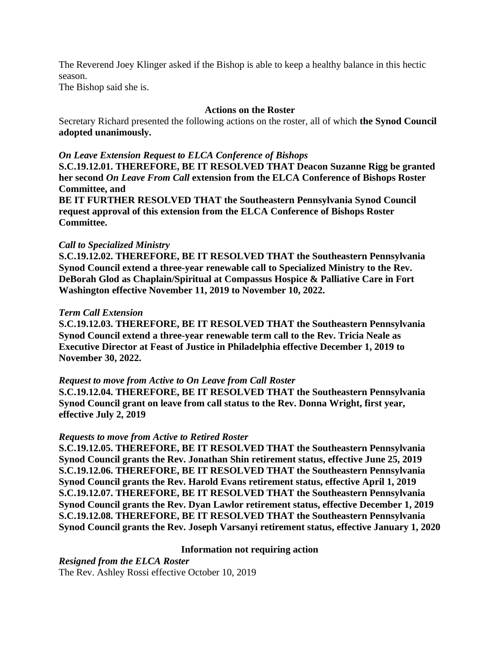The Reverend Joey Klinger asked if the Bishop is able to keep a healthy balance in this hectic season.

The Bishop said she is.

## **Actions on the Roster**

Secretary Richard presented the following actions on the roster, all of which **the Synod Council adopted unanimously.**

# *On Leave Extension Request to ELCA Conference of Bishops*

**S.C.19.12.01. THEREFORE, BE IT RESOLVED THAT Deacon Suzanne Rigg be granted her second** *On Leave From Call* **extension from the ELCA Conference of Bishops Roster Committee, and** 

**BE IT FURTHER RESOLVED THAT the Southeastern Pennsylvania Synod Council request approval of this extension from the ELCA Conference of Bishops Roster Committee.**

# *Call to Specialized Ministry*

**S.C.19.12.02. THEREFORE, BE IT RESOLVED THAT the Southeastern Pennsylvania Synod Council extend a three-year renewable call to Specialized Ministry to the Rev. DeBorah Glod as Chaplain/Spiritual at Compassus Hospice & Palliative Care in Fort Washington effective November 11, 2019 to November 10, 2022.**

# *Term Call Extension*

**S.C.19.12.03. THEREFORE, BE IT RESOLVED THAT the Southeastern Pennsylvania Synod Council extend a three-year renewable term call to the Rev. Tricia Neale as Executive Director at Feast of Justice in Philadelphia effective December 1, 2019 to November 30, 2022.**

# *Request to move from Active to On Leave from Call Roster*

**S.C.19.12.04. THEREFORE, BE IT RESOLVED THAT the Southeastern Pennsylvania Synod Council grant on leave from call status to the Rev. Donna Wright, first year, effective July 2, 2019**

#### *Requests to move from Active to Retired Roster*

**S.C.19.12.05. THEREFORE, BE IT RESOLVED THAT the Southeastern Pennsylvania Synod Council grants the Rev. Jonathan Shin retirement status, effective June 25, 2019 S.C.19.12.06. THEREFORE, BE IT RESOLVED THAT the Southeastern Pennsylvania Synod Council grants the Rev. Harold Evans retirement status, effective April 1, 2019 S.C.19.12.07. THEREFORE, BE IT RESOLVED THAT the Southeastern Pennsylvania Synod Council grants the Rev. Dyan Lawlor retirement status, effective December 1, 2019 S.C.19.12.08. THEREFORE, BE IT RESOLVED THAT the Southeastern Pennsylvania Synod Council grants the Rev. Joseph Varsanyi retirement status, effective January 1, 2020**

#### **Information not requiring action**

*Resigned from the ELCA Roster*  The Rev. Ashley Rossi effective October 10, 2019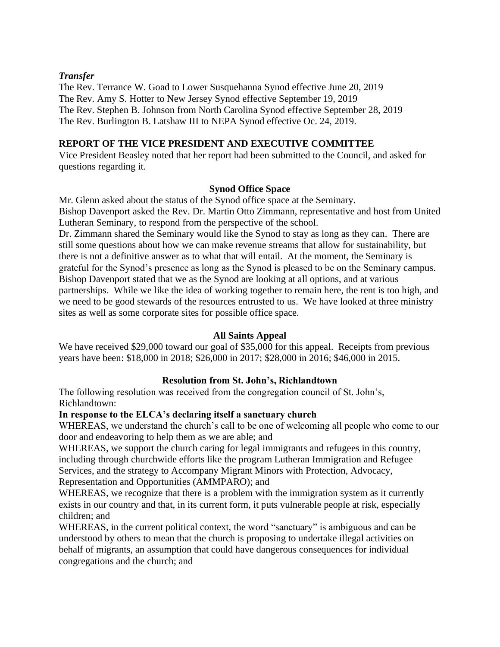# *Transfer*

The Rev. Terrance W. Goad to Lower Susquehanna Synod effective June 20, 2019 The Rev. Amy S. Hotter to New Jersey Synod effective September 19, 2019 The Rev. Stephen B. Johnson from North Carolina Synod effective September 28, 2019 The Rev. Burlington B. Latshaw III to NEPA Synod effective Oc. 24, 2019.

# **REPORT OF THE VICE PRESIDENT AND EXECUTIVE COMMITTEE**

Vice President Beasley noted that her report had been submitted to the Council, and asked for questions regarding it.

#### **Synod Office Space**

Mr. Glenn asked about the status of the Synod office space at the Seminary. Bishop Davenport asked the Rev. Dr. Martin Otto Zimmann, representative and host from United Lutheran Seminary, to respond from the perspective of the school.

Dr. Zimmann shared the Seminary would like the Synod to stay as long as they can. There are still some questions about how we can make revenue streams that allow for sustainability, but there is not a definitive answer as to what that will entail. At the moment, the Seminary is grateful for the Synod's presence as long as the Synod is pleased to be on the Seminary campus. Bishop Davenport stated that we as the Synod are looking at all options, and at various partnerships. While we like the idea of working together to remain here, the rent is too high, and we need to be good stewards of the resources entrusted to us. We have looked at three ministry sites as well as some corporate sites for possible office space.

#### **All Saints Appeal**

We have received \$29,000 toward our goal of \$35,000 for this appeal. Receipts from previous years have been: \$18,000 in 2018; \$26,000 in 2017; \$28,000 in 2016; \$46,000 in 2015.

#### **Resolution from St. John's, Richlandtown**

The following resolution was received from the congregation council of St. John's, Richlandtown:

#### **In response to the ELCA's declaring itself a sanctuary church**

WHEREAS, we understand the church's call to be one of welcoming all people who come to our door and endeavoring to help them as we are able; and

WHEREAS, we support the church caring for legal immigrants and refugees in this country, including through churchwide efforts like the program Lutheran Immigration and Refugee Services, and the strategy to Accompany Migrant Minors with Protection, Advocacy, Representation and Opportunities (AMMPARO); and

WHEREAS, we recognize that there is a problem with the immigration system as it currently exists in our country and that, in its current form, it puts vulnerable people at risk, especially children; and

WHEREAS, in the current political context, the word "sanctuary" is ambiguous and can be understood by others to mean that the church is proposing to undertake illegal activities on behalf of migrants, an assumption that could have dangerous consequences for individual congregations and the church; and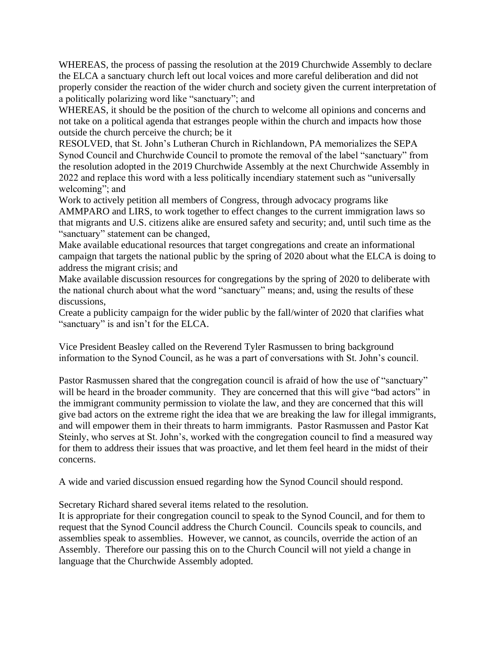WHEREAS, the process of passing the resolution at the 2019 Churchwide Assembly to declare the ELCA a sanctuary church left out local voices and more careful deliberation and did not properly consider the reaction of the wider church and society given the current interpretation of a politically polarizing word like "sanctuary"; and

WHEREAS, it should be the position of the church to welcome all opinions and concerns and not take on a political agenda that estranges people within the church and impacts how those outside the church perceive the church; be it

RESOLVED, that St. John's Lutheran Church in Richlandown, PA memorializes the SEPA Synod Council and Churchwide Council to promote the removal of the label "sanctuary" from the resolution adopted in the 2019 Churchwide Assembly at the next Churchwide Assembly in 2022 and replace this word with a less politically incendiary statement such as "universally welcoming"; and

Work to actively petition all members of Congress, through advocacy programs like AMMPARO and LIRS, to work together to effect changes to the current immigration laws so that migrants and U.S. citizens alike are ensured safety and security; and, until such time as the "sanctuary" statement can be changed,

Make available educational resources that target congregations and create an informational campaign that targets the national public by the spring of 2020 about what the ELCA is doing to address the migrant crisis; and

Make available discussion resources for congregations by the spring of 2020 to deliberate with the national church about what the word "sanctuary" means; and, using the results of these discussions,

Create a publicity campaign for the wider public by the fall/winter of 2020 that clarifies what "sanctuary" is and isn't for the ELCA.

Vice President Beasley called on the Reverend Tyler Rasmussen to bring background information to the Synod Council, as he was a part of conversations with St. John's council.

Pastor Rasmussen shared that the congregation council is afraid of how the use of "sanctuary" will be heard in the broader community. They are concerned that this will give "bad actors" in the immigrant community permission to violate the law, and they are concerned that this will give bad actors on the extreme right the idea that we are breaking the law for illegal immigrants, and will empower them in their threats to harm immigrants. Pastor Rasmussen and Pastor Kat Steinly, who serves at St. John's, worked with the congregation council to find a measured way for them to address their issues that was proactive, and let them feel heard in the midst of their concerns.

A wide and varied discussion ensued regarding how the Synod Council should respond.

Secretary Richard shared several items related to the resolution.

It is appropriate for their congregation council to speak to the Synod Council, and for them to request that the Synod Council address the Church Council. Councils speak to councils, and assemblies speak to assemblies. However, we cannot, as councils, override the action of an Assembly. Therefore our passing this on to the Church Council will not yield a change in language that the Churchwide Assembly adopted.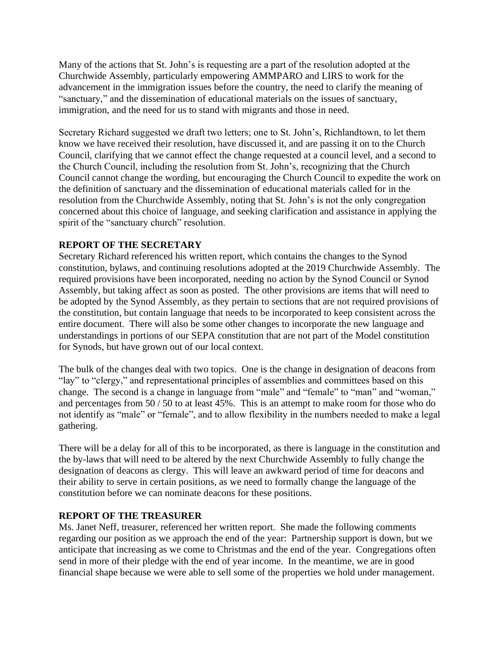Many of the actions that St. John's is requesting are a part of the resolution adopted at the Churchwide Assembly, particularly empowering AMMPARO and LIRS to work for the advancement in the immigration issues before the country, the need to clarify the meaning of "sanctuary," and the dissemination of educational materials on the issues of sanctuary, immigration, and the need for us to stand with migrants and those in need.

Secretary Richard suggested we draft two letters; one to St. John's, Richlandtown, to let them know we have received their resolution, have discussed it, and are passing it on to the Church Council, clarifying that we cannot effect the change requested at a council level, and a second to the Church Council, including the resolution from St. John's, recognizing that the Church Council cannot change the wording, but encouraging the Church Council to expedite the work on the definition of sanctuary and the dissemination of educational materials called for in the resolution from the Churchwide Assembly, noting that St. John's is not the only congregation concerned about this choice of language, and seeking clarification and assistance in applying the spirit of the "sanctuary church" resolution.

# **REPORT OF THE SECRETARY**

Secretary Richard referenced his written report, which contains the changes to the Synod constitution, bylaws, and continuing resolutions adopted at the 2019 Churchwide Assembly. The required provisions have been incorporated, needing no action by the Synod Council or Synod Assembly, but taking affect as soon as posted. The other provisions are items that will need to be adopted by the Synod Assembly, as they pertain to sections that are not required provisions of the constitution, but contain language that needs to be incorporated to keep consistent across the entire document. There will also be some other changes to incorporate the new language and understandings in portions of our SEPA constitution that are not part of the Model constitution for Synods, but have grown out of our local context.

The bulk of the changes deal with two topics. One is the change in designation of deacons from "lay" to "clergy," and representational principles of assemblies and committees based on this change. The second is a change in language from "male" and "female" to "man" and "woman," and percentages from 50 / 50 to at least 45%. This is an attempt to make room for those who do not identify as "male" or "female", and to allow flexibility in the numbers needed to make a legal gathering.

There will be a delay for all of this to be incorporated, as there is language in the constitution and the by-laws that will need to be altered by the next Churchwide Assembly to fully change the designation of deacons as clergy. This will leave an awkward period of time for deacons and their ability to serve in certain positions, as we need to formally change the language of the constitution before we can nominate deacons for these positions.

# **REPORT OF THE TREASURER**

Ms. Janet Neff, treasurer, referenced her written report. She made the following comments regarding our position as we approach the end of the year: Partnership support is down, but we anticipate that increasing as we come to Christmas and the end of the year. Congregations often send in more of their pledge with the end of year income. In the meantime, we are in good financial shape because we were able to sell some of the properties we hold under management.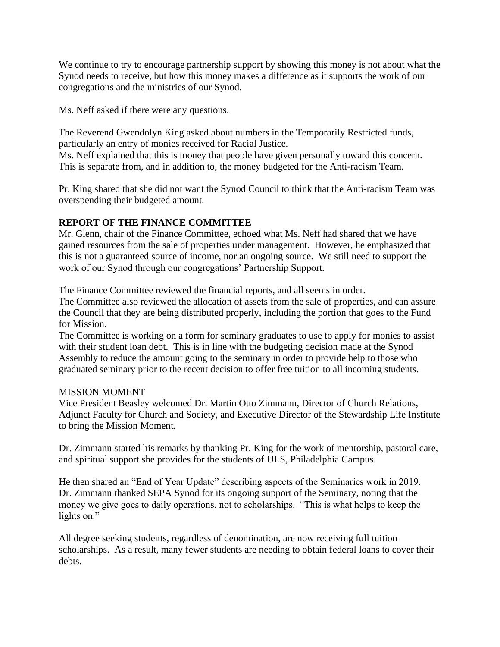We continue to try to encourage partnership support by showing this money is not about what the Synod needs to receive, but how this money makes a difference as it supports the work of our congregations and the ministries of our Synod.

Ms. Neff asked if there were any questions.

The Reverend Gwendolyn King asked about numbers in the Temporarily Restricted funds, particularly an entry of monies received for Racial Justice. Ms. Neff explained that this is money that people have given personally toward this concern.

This is separate from, and in addition to, the money budgeted for the Anti-racism Team.

Pr. King shared that she did not want the Synod Council to think that the Anti-racism Team was overspending their budgeted amount.

# **REPORT OF THE FINANCE COMMITTEE**

Mr. Glenn, chair of the Finance Committee, echoed what Ms. Neff had shared that we have gained resources from the sale of properties under management. However, he emphasized that this is not a guaranteed source of income, nor an ongoing source. We still need to support the work of our Synod through our congregations' Partnership Support.

The Finance Committee reviewed the financial reports, and all seems in order.

The Committee also reviewed the allocation of assets from the sale of properties, and can assure the Council that they are being distributed properly, including the portion that goes to the Fund for Mission.

The Committee is working on a form for seminary graduates to use to apply for monies to assist with their student loan debt. This is in line with the budgeting decision made at the Synod Assembly to reduce the amount going to the seminary in order to provide help to those who graduated seminary prior to the recent decision to offer free tuition to all incoming students.

# MISSION MOMENT

Vice President Beasley welcomed Dr. Martin Otto Zimmann, Director of Church Relations, Adjunct Faculty for Church and Society, and Executive Director of the Stewardship Life Institute to bring the Mission Moment.

Dr. Zimmann started his remarks by thanking Pr. King for the work of mentorship, pastoral care, and spiritual support she provides for the students of ULS, Philadelphia Campus.

He then shared an "End of Year Update" describing aspects of the Seminaries work in 2019. Dr. Zimmann thanked SEPA Synod for its ongoing support of the Seminary, noting that the money we give goes to daily operations, not to scholarships. "This is what helps to keep the lights on."

All degree seeking students, regardless of denomination, are now receiving full tuition scholarships. As a result, many fewer students are needing to obtain federal loans to cover their debts.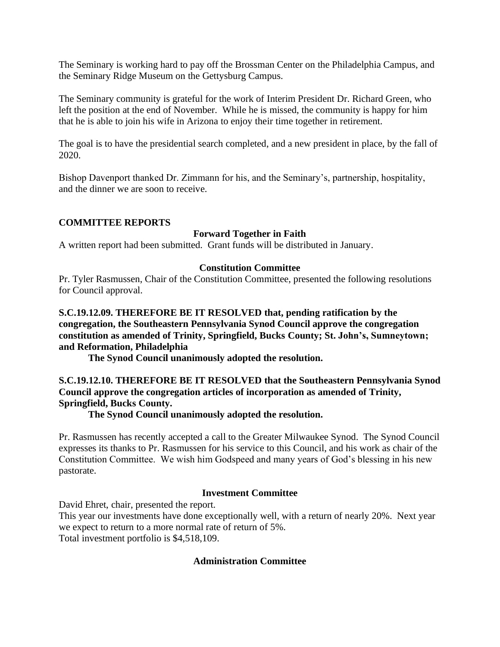The Seminary is working hard to pay off the Brossman Center on the Philadelphia Campus, and the Seminary Ridge Museum on the Gettysburg Campus.

The Seminary community is grateful for the work of Interim President Dr. Richard Green, who left the position at the end of November. While he is missed, the community is happy for him that he is able to join his wife in Arizona to enjoy their time together in retirement.

The goal is to have the presidential search completed, and a new president in place, by the fall of 2020.

Bishop Davenport thanked Dr. Zimmann for his, and the Seminary's, partnership, hospitality, and the dinner we are soon to receive.

# **COMMITTEE REPORTS**

# **Forward Together in Faith**

A written report had been submitted. Grant funds will be distributed in January.

#### **Constitution Committee**

Pr. Tyler Rasmussen, Chair of the Constitution Committee, presented the following resolutions for Council approval.

**S.C.19.12.09. THEREFORE BE IT RESOLVED that, pending ratification by the congregation, the Southeastern Pennsylvania Synod Council approve the congregation constitution as amended of Trinity, Springfield, Bucks County; St. John's, Sumneytown; and Reformation, Philadelphia**

**The Synod Council unanimously adopted the resolution.**

**S.C.19.12.10. THEREFORE BE IT RESOLVED that the Southeastern Pennsylvania Synod Council approve the congregation articles of incorporation as amended of Trinity, Springfield, Bucks County.**

**The Synod Council unanimously adopted the resolution.**

Pr. Rasmussen has recently accepted a call to the Greater Milwaukee Synod. The Synod Council expresses its thanks to Pr. Rasmussen for his service to this Council, and his work as chair of the Constitution Committee. We wish him Godspeed and many years of God's blessing in his new pastorate.

#### **Investment Committee**

David Ehret, chair, presented the report.

This year our investments have done exceptionally well, with a return of nearly 20%. Next year we expect to return to a more normal rate of return of 5%. Total investment portfolio is \$4,518,109.

#### **Administration Committee**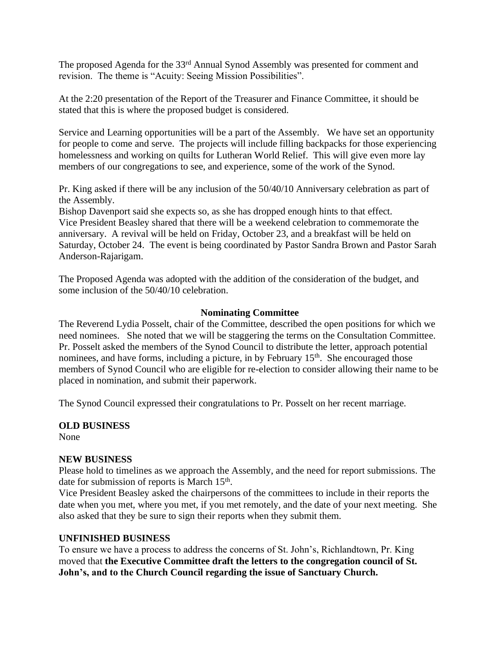The proposed Agenda for the 33rd Annual Synod Assembly was presented for comment and revision. The theme is "Acuity: Seeing Mission Possibilities".

At the 2:20 presentation of the Report of the Treasurer and Finance Committee, it should be stated that this is where the proposed budget is considered.

Service and Learning opportunities will be a part of the Assembly. We have set an opportunity for people to come and serve. The projects will include filling backpacks for those experiencing homelessness and working on quilts for Lutheran World Relief. This will give even more lay members of our congregations to see, and experience, some of the work of the Synod.

Pr. King asked if there will be any inclusion of the 50/40/10 Anniversary celebration as part of the Assembly.

Bishop Davenport said she expects so, as she has dropped enough hints to that effect. Vice President Beasley shared that there will be a weekend celebration to commemorate the anniversary. A revival will be held on Friday, October 23, and a breakfast will be held on Saturday, October 24. The event is being coordinated by Pastor Sandra Brown and Pastor Sarah Anderson-Rajarigam.

The Proposed Agenda was adopted with the addition of the consideration of the budget, and some inclusion of the 50/40/10 celebration.

#### **Nominating Committee**

The Reverend Lydia Posselt, chair of the Committee, described the open positions for which we need nominees. She noted that we will be staggering the terms on the Consultation Committee. Pr. Posselt asked the members of the Synod Council to distribute the letter, approach potential nominees, and have forms, including a picture, in by February  $15<sup>th</sup>$ . She encouraged those members of Synod Council who are eligible for re-election to consider allowing their name to be placed in nomination, and submit their paperwork.

The Synod Council expressed their congratulations to Pr. Posselt on her recent marriage.

# **OLD BUSINESS**

None

#### **NEW BUSINESS**

Please hold to timelines as we approach the Assembly, and the need for report submissions. The date for submission of reports is March 15<sup>th</sup>.

Vice President Beasley asked the chairpersons of the committees to include in their reports the date when you met, where you met, if you met remotely, and the date of your next meeting. She also asked that they be sure to sign their reports when they submit them.

#### **UNFINISHED BUSINESS**

To ensure we have a process to address the concerns of St. John's, Richlandtown, Pr. King moved that **the Executive Committee draft the letters to the congregation council of St. John's, and to the Church Council regarding the issue of Sanctuary Church.**